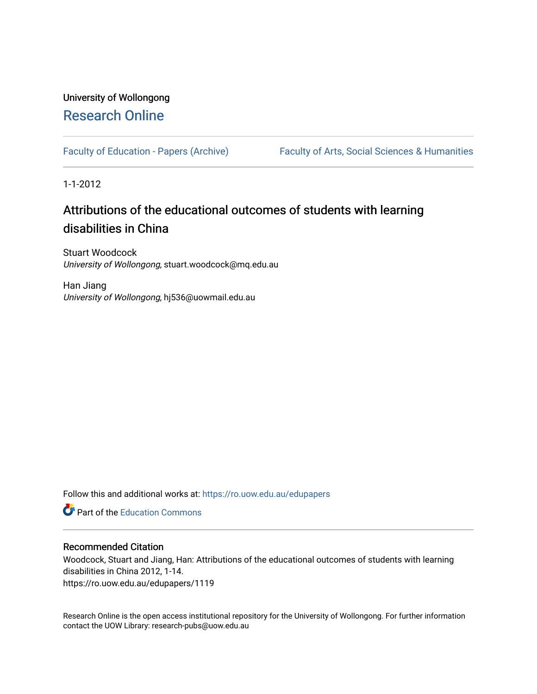## University of Wollongong [Research Online](https://ro.uow.edu.au/)

[Faculty of Education - Papers \(Archive\)](https://ro.uow.edu.au/edupapers) Faculty of Arts, Social Sciences & Humanities

1-1-2012

# Attributions of the educational outcomes of students with learning disabilities in China

Stuart Woodcock University of Wollongong, stuart.woodcock@mq.edu.au

Han Jiang University of Wollongong, hj536@uowmail.edu.au

Follow this and additional works at: [https://ro.uow.edu.au/edupapers](https://ro.uow.edu.au/edupapers?utm_source=ro.uow.edu.au%2Fedupapers%2F1119&utm_medium=PDF&utm_campaign=PDFCoverPages) 

**C** Part of the [Education Commons](http://network.bepress.com/hgg/discipline/784?utm_source=ro.uow.edu.au%2Fedupapers%2F1119&utm_medium=PDF&utm_campaign=PDFCoverPages)

## Recommended Citation

Woodcock, Stuart and Jiang, Han: Attributions of the educational outcomes of students with learning disabilities in China 2012, 1-14. https://ro.uow.edu.au/edupapers/1119

Research Online is the open access institutional repository for the University of Wollongong. For further information contact the UOW Library: research-pubs@uow.edu.au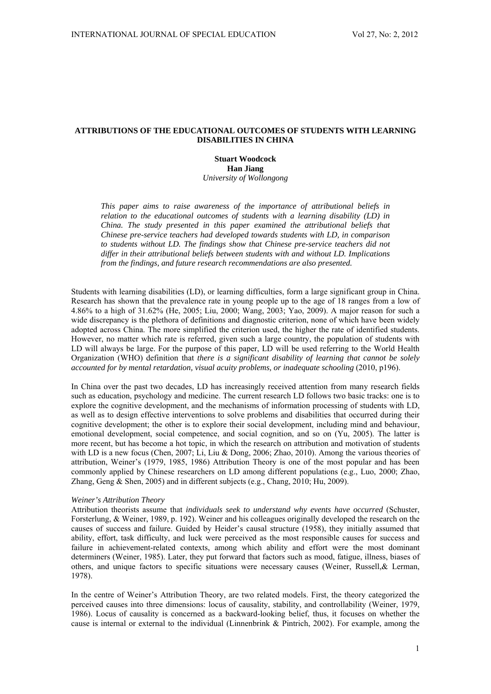## **ATTRIBUTIONS OF THE EDUCATIONAL OUTCOMES OF STUDENTS WITH LEARNING DISABILITIES IN CHINA**

**Stuart Woodcock Han Jiang**  *University of Wollongong* 

*This paper aims to raise awareness of the importance of attributional beliefs in relation to the educational outcomes of students with a learning disability (LD) in China. The study presented in this paper examined the attributional beliefs that Chinese pre-service teachers had developed towards students with LD, in comparison to students without LD. The findings show that Chinese pre-service teachers did not differ in their attributional beliefs between students with and without LD. Implications from the findings, and future research recommendations are also presented.* 

Students with learning disabilities (LD), or learning difficulties, form a large significant group in China. Research has shown that the prevalence rate in young people up to the age of 18 ranges from a low of 4.86% to a high of 31.62% (He, 2005; Liu, 2000; Wang, 2003; Yao, 2009). A major reason for such a wide discrepancy is the plethora of definitions and diagnostic criterion, none of which have been widely adopted across China. The more simplified the criterion used, the higher the rate of identified students. However, no matter which rate is referred, given such a large country, the population of students with LD will always be large. For the purpose of this paper, LD will be used referring to the World Health Organization (WHO) definition that *there is a significant disability of learning that cannot be solely accounted for by mental retardation, visual acuity problems, or inadequate schooling* (2010, p196).

In China over the past two decades, LD has increasingly received attention from many research fields such as education, psychology and medicine. The current research LD follows two basic tracks: one is to explore the cognitive development, and the mechanisms of information processing of students with LD, as well as to design effective interventions to solve problems and disabilities that occurred during their cognitive development; the other is to explore their social development, including mind and behaviour, emotional development, social competence, and social cognition, and so on (Yu, 2005). The latter is more recent, but has become a hot topic, in which the research on attribution and motivation of students with LD is a new focus (Chen, 2007; Li, Liu & Dong, 2006; Zhao, 2010). Among the various theories of attribution, Weiner's (1979, 1985, 1986) Attribution Theory is one of the most popular and has been commonly applied by Chinese researchers on LD among different populations (e.g., Luo, 2000; Zhao, Zhang, Geng & Shen, 2005) and in different subjects (e.g., Chang, 2010; Hu, 2009).

#### *Weiner's Attribution Theory*

Attribution theorists assume that *individuals seek to understand why events have occurred* (Schuster, Forsterlung, & Weiner, 1989, p. 192). Weiner and his colleagues originally developed the research on the causes of success and failure. Guided by Heider's causal structure (1958), they initially assumed that ability, effort, task difficulty, and luck were perceived as the most responsible causes for success and failure in achievement-related contexts, among which ability and effort were the most dominant determiners (Weiner, 1985). Later, they put forward that factors such as mood, fatigue, illness, biases of others, and unique factors to specific situations were necessary causes (Weiner, Russell,& Lerman, 1978).

In the centre of Weiner's Attribution Theory, are two related models. First, the theory categorized the perceived causes into three dimensions: locus of causality, stability, and controllability (Weiner, 1979, 1986). Locus of causality is concerned as a backward-looking belief, thus, it focuses on whether the cause is internal or external to the individual (Linnenbrink & Pintrich, 2002). For example, among the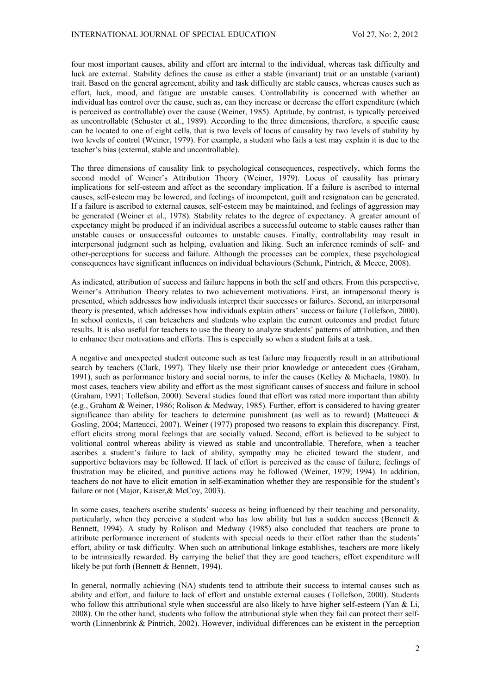four most important causes, ability and effort are internal to the individual, whereas task difficulty and luck are external. Stability defines the cause as either a stable (invariant) trait or an unstable (variant) trait. Based on the general agreement, ability and task difficulty are stable causes, whereas causes such as effort, luck, mood, and fatigue are unstable causes. Controllability is concerned with whether an individual has control over the cause, such as, can they increase or decrease the effort expenditure (which is perceived as controllable) over the cause (Weiner, 1985). Aptitude, by contrast, is typically perceived as uncontrollable (Schuster et al., 1989). According to the three dimensions, therefore, a specific cause can be located to one of eight cells, that is two levels of locus of causality by two levels of stability by two levels of control (Weiner, 1979). For example, a student who fails a test may explain it is due to the teacher's bias (external, stable and uncontrollable).

The three dimensions of causality link to psychological consequences, respectively, which forms the second model of Weiner's Attribution Theory (Weiner, 1979). Locus of causality has primary implications for self-esteem and affect as the secondary implication. If a failure is ascribed to internal causes, self-esteem may be lowered, and feelings of incompetent, guilt and resignation can be generated. If a failure is ascribed to external causes, self-esteem may be maintained, and feelings of aggression may be generated (Weiner et al., 1978). Stability relates to the degree of expectancy. A greater amount of expectancy might be produced if an individual ascribes a successful outcome to stable causes rather than unstable causes or unsuccessful outcomes to unstable causes. Finally, controllability may result in interpersonal judgment such as helping, evaluation and liking. Such an inference reminds of self- and other-perceptions for success and failure. Although the processes can be complex, these psychological consequences have significant influences on individual behaviours (Schunk, Pintrich, & Meece, 2008).

As indicated, attribution of success and failure happens in both the self and others. From this perspective, Weiner's Attribution Theory relates to two achievement motivations. First, an intrapersonal theory is presented, which addresses how individuals interpret their successes or failures. Second, an interpersonal theory is presented, which addresses how individuals explain others' success or failure (Tollefson, 2000). In school contexts, it can beteachers and students who explain the current outcomes and predict future results. It is also useful for teachers to use the theory to analyze students' patterns of attribution, and then to enhance their motivations and efforts. This is especially so when a student fails at a task.

A negative and unexpected student outcome such as test failure may frequently result in an attributional search by teachers (Clark, 1997). They likely use their prior knowledge or antecedent cues (Graham, 1991), such as performance history and social norms, to infer the causes (Kelley & Michaela, 1980). In most cases, teachers view ability and effort as the most significant causes of success and failure in school (Graham, 1991; Tollefson, 2000). Several studies found that effort was rated more important than ability (e.g., Graham & Weiner, 1986; Rolison & Medway, 1985). Further, effort is considered to having greater significance than ability for teachers to determine punishment (as well as to reward) (Matteucci  $\&$ Gosling, 2004; Matteucci, 2007). Weiner (1977) proposed two reasons to explain this discrepancy. First, effort elicits strong moral feelings that are socially valued. Second, effort is believed to be subject to volitional control whereas ability is viewed as stable and uncontrollable. Therefore, when a teacher ascribes a student's failure to lack of ability, sympathy may be elicited toward the student, and supportive behaviors may be followed. If lack of effort is perceived as the cause of failure, feelings of frustration may be elicited, and punitive actions may be followed (Weiner, 1979; 1994). In addition, teachers do not have to elicit emotion in self-examination whether they are responsible for the student's failure or not (Major, Kaiser, & McCoy, 2003).

In some cases, teachers ascribe students' success as being influenced by their teaching and personality, particularly, when they perceive a student who has low ability but has a sudden success (Bennett  $\&$ Bennett, 1994). A study by Rolison and Medway (1985) also concluded that teachers are prone to attribute performance increment of students with special needs to their effort rather than the students' effort, ability or task difficulty. When such an attributional linkage establishes, teachers are more likely to be intrinsically rewarded. By carrying the belief that they are good teachers, effort expenditure will likely be put forth (Bennett & Bennett, 1994).

In general, normally achieving (NA) students tend to attribute their success to internal causes such as ability and effort, and failure to lack of effort and unstable external causes (Tollefson, 2000). Students who follow this attributional style when successful are also likely to have higher self-esteem (Yan & Li, 2008). On the other hand, students who follow the attributional style when they fail can protect their selfworth (Linnenbrink & Pintrich, 2002). However, individual differences can be existent in the perception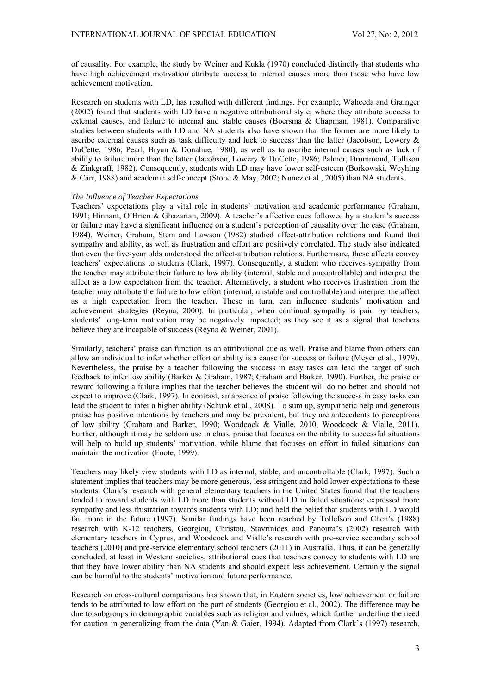of causality. For example, the study by Weiner and Kukla (1970) concluded distinctly that students who have high achievement motivation attribute success to internal causes more than those who have low achievement motivation.

Research on students with LD, has resulted with different findings. For example, Waheeda and Grainger (2002) found that students with LD have a negative attributional style, where they attribute success to external causes, and failure to internal and stable causes (Boersma & Chapman, 1981). Comparative studies between students with LD and NA students also have shown that the former are more likely to ascribe external causes such as task difficulty and luck to success than the latter (Jacobson, Lowery & DuCette, 1986; Pearl, Bryan & Donahue, 1980), as well as to ascribe internal causes such as lack of ability to failure more than the latter (Jacobson, Lowery & DuCette, 1986; Palmer, Drummond, Tollison & Zinkgraff, 1982). Consequently, students with LD may have lower self-esteem (Borkowski, Weyhing & Carr, 1988) and academic self-concept (Stone & May, 2002; Nunez et al., 2005) than NA students.

## *The Influence of Teacher Expectations*

Teachers' expectations play a vital role in students' motivation and academic performance (Graham, 1991; Hinnant, O'Brien & Ghazarian, 2009). A teacher's affective cues followed by a student's success or failure may have a significant influence on a student's perception of causality over the case (Graham, 1984). Weiner, Graham, Stem and Lawson (1982) studied affect-attribution relations and found that sympathy and ability, as well as frustration and effort are positively correlated. The study also indicated that even the five-year olds understood the affect-attribution relations. Furthermore, these affects convey teachers' expectations to students (Clark, 1997). Consequently, a student who receives sympathy from the teacher may attribute their failure to low ability (internal, stable and uncontrollable) and interpret the affect as a low expectation from the teacher. Alternatively, a student who receives frustration from the teacher may attribute the failure to low effort (internal, unstable and controllable) and interpret the affect as a high expectation from the teacher. These in turn, can influence students' motivation and achievement strategies (Reyna, 2000). In particular, when continual sympathy is paid by teachers, students' long-term motivation may be negatively impacted; as they see it as a signal that teachers believe they are incapable of success (Reyna & Weiner, 2001).

Similarly, teachers' praise can function as an attributional cue as well. Praise and blame from others can allow an individual to infer whether effort or ability is a cause for success or failure (Meyer et al., 1979). Nevertheless, the praise by a teacher following the success in easy tasks can lead the target of such feedback to infer low ability (Barker & Graham, 1987; Graham and Barker, 1990). Further, the praise or reward following a failure implies that the teacher believes the student will do no better and should not expect to improve (Clark, 1997). In contrast, an absence of praise following the success in easy tasks can lead the student to infer a higher ability (Schunk et al., 2008). To sum up, sympathetic help and generous praise has positive intentions by teachers and may be prevalent, but they are antecedents to perceptions of low ability (Graham and Barker, 1990; Woodcock & Vialle, 2010, Woodcock & Vialle, 2011). Further, although it may be seldom use in class, praise that focuses on the ability to successful situations will help to build up students' motivation, while blame that focuses on effort in failed situations can maintain the motivation (Foote, 1999).

Teachers may likely view students with LD as internal, stable, and uncontrollable (Clark, 1997). Such a statement implies that teachers may be more generous, less stringent and hold lower expectations to these students. Clark's research with general elementary teachers in the United States found that the teachers tended to reward students with LD more than students without LD in failed situations; expressed more sympathy and less frustration towards students with LD; and held the belief that students with LD would fail more in the future (1997). Similar findings have been reached by Tollefson and Chen's (1988) research with K-12 teachers, Georgiou, Christou, Stavrinides and Panoura's (2002) research with elementary teachers in Cyprus, and Woodcock and Vialle's research with pre-service secondary school teachers (2010) and pre-service elementary school teachers (2011) in Australia. Thus, it can be generally concluded, at least in Western societies, attributional cues that teachers convey to students with LD are that they have lower ability than NA students and should expect less achievement. Certainly the signal can be harmful to the students' motivation and future performance.

Research on cross-cultural comparisons has shown that, in Eastern societies, low achievement or failure tends to be attributed to low effort on the part of students (Georgiou et al., 2002). The difference may be due to subgroups in demographic variables such as religion and values, which further underline the need for caution in generalizing from the data (Yan & Gaier, 1994). Adapted from Clark's (1997) research,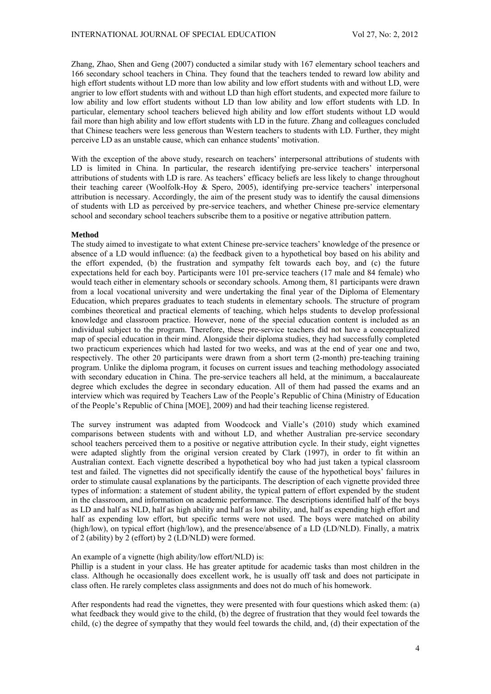Zhang, Zhao, Shen and Geng (2007) conducted a similar study with 167 elementary school teachers and 166 secondary school teachers in China. They found that the teachers tended to reward low ability and high effort students without LD more than low ability and low effort students with and without LD, were angrier to low effort students with and without LD than high effort students, and expected more failure to low ability and low effort students without LD than low ability and low effort students with LD. In particular, elementary school teachers believed high ability and low effort students without LD would fail more than high ability and low effort students with LD in the future. Zhang and colleagues concluded that Chinese teachers were less generous than Western teachers to students with LD. Further, they might perceive LD as an unstable cause, which can enhance students' motivation.

With the exception of the above study, research on teachers' interpersonal attributions of students with LD is limited in China. In particular, the research identifying pre-service teachers' interpersonal attributions of students with LD is rare. As teachers' efficacy beliefs are less likely to change throughout their teaching career (Woolfolk-Hoy & Spero, 2005), identifying pre-service teachers' interpersonal attribution is necessary. Accordingly, the aim of the present study was to identify the causal dimensions of students with LD as perceived by pre-service teachers, and whether Chinese pre-service elementary school and secondary school teachers subscribe them to a positive or negative attribution pattern.

### **Method**

The study aimed to investigate to what extent Chinese pre-service teachers' knowledge of the presence or absence of a LD would influence: (a) the feedback given to a hypothetical boy based on his ability and the effort expended, (b) the frustration and sympathy felt towards each boy, and (c) the future expectations held for each boy. Participants were 101 pre-service teachers (17 male and 84 female) who would teach either in elementary schools or secondary schools. Among them, 81 participants were drawn from a local vocational university and were undertaking the final year of the Diploma of Elementary Education, which prepares graduates to teach students in elementary schools. The structure of program combines theoretical and practical elements of teaching, which helps students to develop professional knowledge and classroom practice. However, none of the special education content is included as an individual subject to the program. Therefore, these pre-service teachers did not have a conceptualized map of special education in their mind. Alongside their diploma studies, they had successfully completed two practicum experiences which had lasted for two weeks, and was at the end of year one and two, respectively. The other 20 participants were drawn from a short term (2-month) pre-teaching training program. Unlike the diploma program, it focuses on current issues and teaching methodology associated with secondary education in China. The pre-service teachers all held, at the minimum, a baccalaureate degree which excludes the degree in secondary education. All of them had passed the exams and an interview which was required by Teachers Law of the People's Republic of China (Ministry of Education of the People's Republic of China [MOE], 2009) and had their teaching license registered.

The survey instrument was adapted from Woodcock and Vialle's (2010) study which examined comparisons between students with and without LD, and whether Australian pre-service secondary school teachers perceived them to a positive or negative attribution cycle. In their study, eight vignettes were adapted slightly from the original version created by Clark (1997), in order to fit within an Australian context. Each vignette described a hypothetical boy who had just taken a typical classroom test and failed. The vignettes did not specifically identify the cause of the hypothetical boys' failures in order to stimulate causal explanations by the participants. The description of each vignette provided three types of information: a statement of student ability, the typical pattern of effort expended by the student in the classroom, and information on academic performance. The descriptions identified half of the boys as LD and half as NLD, half as high ability and half as low ability, and, half as expending high effort and half as expending low effort, but specific terms were not used. The boys were matched on ability (high/low), on typical effort (high/low), and the presence/absence of a LD (LD/NLD). Finally, a matrix of 2 (ability) by 2 (effort) by 2 (LD/NLD) were formed.

## An example of a vignette (high ability/low effort/NLD) is:

Phillip is a student in your class. He has greater aptitude for academic tasks than most children in the class. Although he occasionally does excellent work, he is usually off task and does not participate in class often. He rarely completes class assignments and does not do much of his homework.

After respondents had read the vignettes, they were presented with four questions which asked them: (a) what feedback they would give to the child, (b) the degree of frustration that they would feel towards the child, (c) the degree of sympathy that they would feel towards the child, and, (d) their expectation of the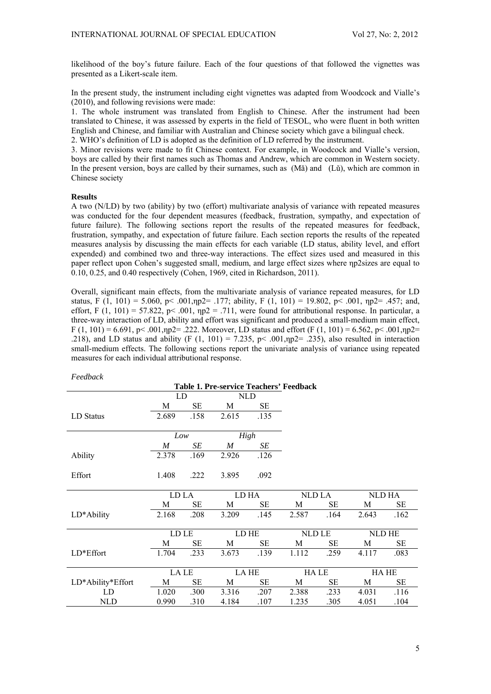likelihood of the boy's future failure. Each of the four questions of that followed the vignettes was presented as a Likert-scale item.

In the present study, the instrument including eight vignettes was adapted from Woodcock and Vialle's (2010), and following revisions were made:

1. The whole instrument was translated from English to Chinese. After the instrument had been translated to Chinese, it was assessed by experts in the field of TESOL, who were fluent in both written English and Chinese, and familiar with Australian and Chinese society which gave a bilingual check. 2. WHO's definition of LD is adopted as the definition of LD referred by the instrument.

3. Minor revisions were made to fit Chinese context. For example, in Woodcock and Vialle's version, boys are called by their first names such as Thomas and Andrew, which are common in Western society. In the present version, boys are called by their surnames, such as (Mǎ) and (Lǔ), which are common in Chinese society

## **Results**

A two (N/LD) by two (ability) by two (effort) multivariate analysis of variance with repeated measures was conducted for the four dependent measures (feedback, frustration, sympathy, and expectation of future failure). The following sections report the results of the repeated measures for feedback, frustration, sympathy, and expectation of future failure. Each section reports the results of the repeated measures analysis by discussing the main effects for each variable (LD status, ability level, and effort expended) and combined two and three-way interactions. The effect sizes used and measured in this paper reflect upon Cohen's suggested small, medium, and large effect sizes where ηp2sizes are equal to 0.10, 0.25, and 0.40 respectively (Cohen, 1969, cited in Richardson, 2011).

Overall, significant main effects, from the multivariate analysis of variance repeated measures, for LD status, F (1, 101) = 5.060, p< .001,np2= .177; ability, F (1, 101) = 19.802, p< .001, np2= .457; and, effort, F  $(1, 101) = 57.822$ , p< .001,  $np2 = .711$ , were found for attributional response. In particular, a three-way interaction of LD, ability and effort was significant and produced a small-medium main effect, F (1, 101) = 6.691, p < .001, p 2 = .222. Moreover, LD status and effort (F (1, 101) = 6.562, p < .001, p 2 = .218), and LD status and ability (F  $(1, 101) = 7.235$ , p< .001,np2= .235), also resulted in interaction small-medium effects. The following sections report the univariate analysis of variance using repeated measures for each individual attributional response.

| г ееараск                               |                  |                  |                  |      |             |      |        |      |  |
|-----------------------------------------|------------------|------------------|------------------|------|-------------|------|--------|------|--|
| Table 1. Pre-service Teachers' Feedback |                  |                  |                  |      |             |      |        |      |  |
|                                         |                  | LD<br><b>NLD</b> |                  |      |             |      |        |      |  |
|                                         | M                | SЕ               | M                | SЕ   |             |      |        |      |  |
| LD Status                               | 2.689            | .158             | 2.615            | .135 |             |      |        |      |  |
|                                         | Low              |                  | High             |      |             |      |        |      |  |
|                                         | $\boldsymbol{M}$ | SE               | $\boldsymbol{M}$ | SE   |             |      |        |      |  |
| Ability                                 | 2.378            | .169             | 2.926            | .126 |             |      |        |      |  |
| Effort                                  | 1.408            | .222             | 3.895            | .092 |             |      |        |      |  |
|                                         | LD LA            |                  | LD HA            |      | NLD LA      |      | NLD HA |      |  |
|                                         | M                | SЕ               | M                | SE   | M           | SE   | M      | SЕ   |  |
| LD*Ability                              | 2.168            | .208             | 3.209            | .145 | 2.587       | .164 | 2.643  | .162 |  |
|                                         |                  |                  |                  |      |             |      |        |      |  |
|                                         | LD LE            |                  | LD HE            |      | NLD LE      |      | NLD HE |      |  |
|                                         | M                | SЕ               | M                | SЕ   | M           | SЕ   | M      | SE   |  |
| $LD*Effort$                             | 1.704            | .233             | 3.673            | .139 | 1.112       | .259 | 4.117  | .083 |  |
|                                         |                  |                  |                  |      |             |      |        |      |  |
|                                         | <b>LA LE</b>     |                  | LA HE            |      | <b>HALE</b> |      | HA HE  |      |  |
| LD*Ability*Effort                       | М                | SЕ               | M                | SЕ   | M           | SЕ   | M      | SE   |  |
| LD                                      | 1.020            | .300             | 3.316            | .207 | 2.388       | .233 | 4.031  | .116 |  |
| <b>NLD</b>                              | 0.990            | .310             | 4.184            | .107 | 1.235       | .305 | 4.051  | .104 |  |

*Feedback*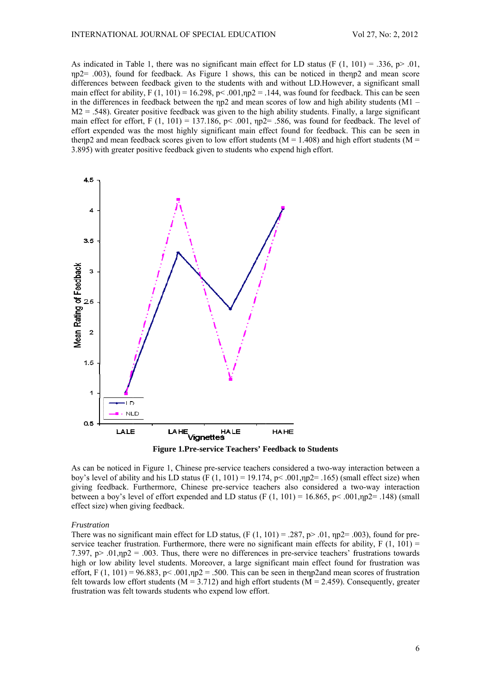As indicated in Table 1, there was no significant main effect for LD status (F  $(1, 101) = .336$ , p> .01,  $np2 = .003$ ), found for feedback. As Figure 1 shows, this can be noticed in the p2 and mean score differences between feedback given to the students with and without LD. However, a significant small main effect for ability,  $F(1, 101) = 16.298$ ,  $p < .001$ ,  $np2 = .144$ , was found for feedback. This can be seen in the differences in feedback between the  $np2$  and mean scores of low and high ability students (M1 –  $M2 = .548$ ). Greater positive feedback was given to the high ability students. Finally, a large significant main effect for effort, F  $(1, 101) = 137.186$ , p< .001,  $np2 = .586$ , was found for feedback. The level of effort expended was the most highly significant main effect found for feedback. This can be seen in then p2 and mean feedback scores given to low effort students ( $M = 1.408$ ) and high effort students ( $M =$ 3.895) with greater positive feedback given to students who expend high effort.



**Figure 1.Pre-service Teachers' Feedback to Students** 

As can be noticed in Figure 1, Chinese pre-service teachers considered a two-way interaction between a boy's level of ability and his LD status (F  $(1, 101) = 19.174$ , p< .001, np2= .165) (small effect size) when giving feedback. Furthermore, Chinese pre-service teachers also considered a two-way interaction between a boy's level of effort expended and LD status (F  $(1, 101) = 16.865$ , p< .001,np2= .148) (small effect size) when giving feedback.

#### Frustration

There was no significant main effect for LD status,  $(F(1, 101) = .287, p > .01, np2 = .003)$ , found for preservice teacher frustration. Furthermore, there were no significant main effects for ability,  $F(1, 101) =$ 7.397,  $p > .01$ ,  $np2 = .003$ . Thus, there were no differences in pre-service teachers' frustrations towards high or low ability level students. Moreover, a large significant main effect found for frustration was effort, F (1, 101) = 96.883, p < .001,  $np2$  = .500. This can be seen in then p2 and mean scores of frustration felt towards low effort students ( $M = 3.712$ ) and high effort students ( $M = 2.459$ ). Consequently, greater frustration was felt towards students who expend low effort.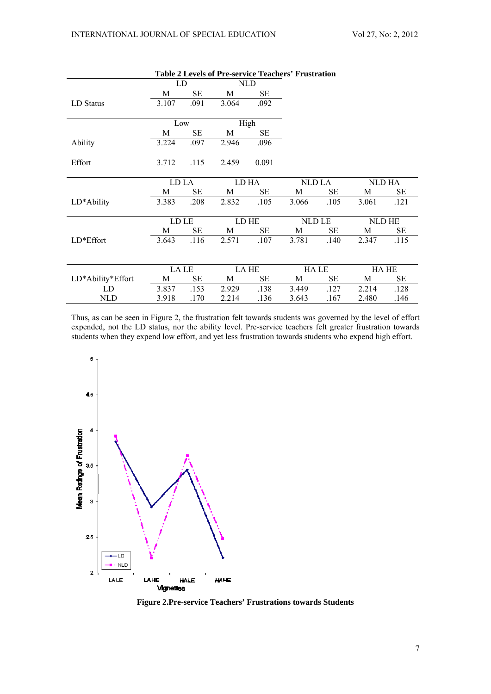$\sim$  $\sim$   $-$ 

|                   |       |      |            |       | Table 2 Levels of Pre-service Teachers' Frustration |        |        |        |
|-------------------|-------|------|------------|-------|-----------------------------------------------------|--------|--------|--------|
|                   | LD    |      | <b>NLD</b> |       |                                                     |        |        |        |
|                   | M     | SЕ   | M          | SЕ    |                                                     |        |        |        |
| LD Status         | 3.107 | .091 | 3.064      | .092  |                                                     |        |        |        |
|                   |       |      |            |       |                                                     |        |        |        |
|                   | Low   |      |            | High  |                                                     |        |        |        |
|                   | M     | SE   | M          | SE    |                                                     |        |        |        |
| Ability           | 3.224 | .097 | 2.946      | .096  |                                                     |        |        |        |
| Effort            | 3.712 | .115 | 2.459      | 0.091 |                                                     |        |        |        |
|                   | LD LA |      | LD HA      |       | NLD LA                                              |        | NLD HA |        |
|                   | M     | SЕ   | M          | SE    | M                                                   | SE     | M      | SE     |
| LD*Ability        | 3.383 | .208 | 2.832      | .105  | 3.066                                               | .105   | 3.061  | .121   |
|                   |       |      |            |       |                                                     |        |        |        |
|                   | LD LE |      |            | LD HE |                                                     | NLD LE |        | NLD HE |
|                   | M     | SЕ   | M          | SE    | M                                                   | SE     | M      | SE     |
| LD*Effort         | 3.643 | .116 | 2.571      | .107  | 3.781                                               | .140   | 2.347  | .115   |
|                   |       |      |            |       |                                                     |        |        |        |
|                   | LA LE |      | LA HE      |       | HA LE                                               |        | HA HE  |        |
| LD*Ability*Effort | M     | SЕ   | M          | SE    | M                                                   | SE     | M      | SЕ     |
| LD.               | 3.837 | .153 | 2.929      | .138  | 3.449                                               | .127   | 2.214  | .128   |
| <b>NLD</b>        | 3.918 | .170 | 2.214      | .136  | 3.643                                               | .167   | 2.480  | .146   |

 $\sim$   $-$ 

Thus, as can be seen in Figure 2, the frustration felt towards students was governed by the level of effort expended, not the LD status, nor the ability level. Pre-service teachers felt greater frustration towards students when they expend low effort, and yet less frustration towards students who expend high effort.



Figure 2.Pre-service Teachers' Frustrations towards Students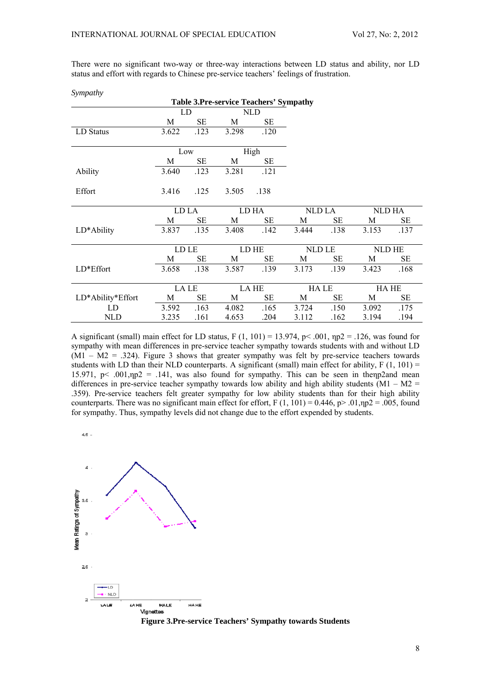There were no significant two-way or three-way interactions between LD status and ability, nor LD status and effort with regards to Chinese pre-service teachers' feelings of frustration.

Sympathy

| <b>Table 3.Pre-service Teachers' Sympathy</b> |           |           |       |      |             |      |             |           |  |
|-----------------------------------------------|-----------|-----------|-------|------|-------------|------|-------------|-----------|--|
|                                               | NLD<br>LD |           |       |      |             |      |             |           |  |
|                                               | М         | SЕ        | М     | SЕ   |             |      |             |           |  |
| LD Status                                     | 3.622     | .123      | 3.298 | .120 |             |      |             |           |  |
|                                               |           |           |       |      |             |      |             |           |  |
|                                               | Low       |           | High  |      |             |      |             |           |  |
|                                               | M         | SЕ        | М     | SЕ   |             |      |             |           |  |
| Ability                                       | 3.640     | .123      | 3.281 | .121 |             |      |             |           |  |
|                                               |           |           |       |      |             |      |             |           |  |
| Effort                                        | 3.416     | .125      | 3.505 | .138 |             |      |             |           |  |
|                                               |           |           |       |      |             |      |             |           |  |
|                                               | LD LA     |           | LD HA |      | NLD LA      |      | NLD HA      |           |  |
|                                               | M         | <b>SE</b> | M     | SЕ   | M           | SЕ   | M           | SE        |  |
| LD*Ability                                    | 3.837     | .135      | 3.408 | .142 | 3.444       | .138 | 3.153       | .137      |  |
|                                               |           |           |       |      |             |      |             |           |  |
|                                               | LD LE     |           | LD HE |      | NLD LE      |      | NLD HE      |           |  |
|                                               | М         | SЕ        | М     | SЕ   | М           | SЕ   | М           | <b>SE</b> |  |
| LD*Effort                                     | 3.658     | .138      | 3.587 | .139 | 3.173       | .139 | 3.423       | .168      |  |
|                                               |           |           |       |      |             |      |             |           |  |
|                                               | LA LE     |           | LA HE |      | <b>HALE</b> |      | <b>HAHE</b> |           |  |
| LD*Ability*Effort                             | М         | SЕ        | M     | SE   | M           | SЕ   | М           | SE        |  |
| LD                                            | 3.592     | .163      | 4.082 | .165 | 3.724       | .150 | 3.092       | .175      |  |
| <b>NLD</b>                                    | 3.235     | .161      | 4.653 | .204 | 3.112       | .162 | 3.194       | .194      |  |

A significant (small) main effect for LD status,  $F(1, 101) = 13.974$ ,  $p < .001$ ,  $np2 = .126$ , was found for sympathy with mean differences in pre-service teacher sympathy towards students with and without LD  $(M1 - M2 = .324)$ . Figure 3 shows that greater sympathy was felt by pre-service teachers towards students with LD than their NLD counterparts. A significant (small) main effect for ability,  $F(1, 101) =$ 15.971,  $p < .001$ ,  $np2 = .141$ , was also found for sympathy. This can be seen in then p2 and mean differences in pre-service teacher sympathy towards low ability and high ability students  $(M1 - M2 =$ .359). Pre-service teachers felt greater sympathy for low ability students than for their high ability counterparts. There was no significant main effect for effort. F  $(1, 101) = 0.446$ , p>  $.01 \text{ m}$   $2 = .005$ , found for sympathy. Thus, sympathy levels did not change due to the effort expended by students.

 $4.5 -$ 



**Figure 3.Pre-service Teachers' Sympathy towards Students**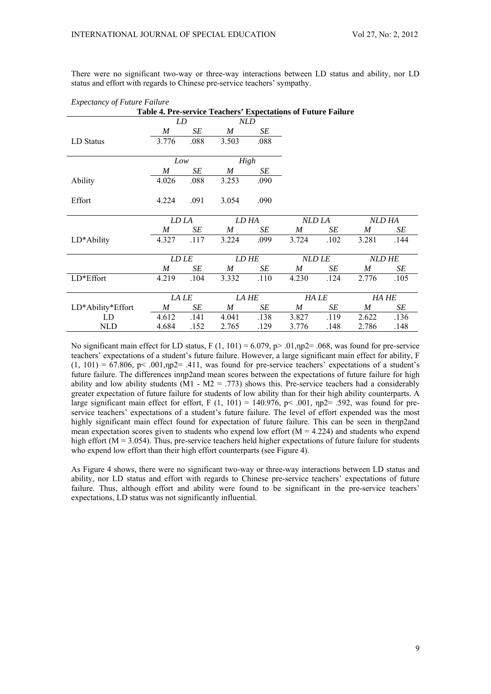There were no significant two-way or three-way interactions between LD status and ability, nor LD status and effort with regards to Chinese pre-service teachers' sympathy.

| Table 4. Pre-service Teachers' Expectations of Future Failure |                  |       |       |       |                  |               |                  |               |  |
|---------------------------------------------------------------|------------------|-------|-------|-------|------------------|---------------|------------------|---------------|--|
|                                                               | LD               |       | NLD   |       |                  |               |                  |               |  |
|                                                               | $\boldsymbol{M}$ | SE    | M     | SE    |                  |               |                  |               |  |
| LD Status                                                     | 3.776            | .088  | 3.503 | .088  |                  |               |                  |               |  |
|                                                               |                  | Low   |       | High  |                  |               |                  |               |  |
|                                                               | M                | SE    | M     | SE    |                  |               |                  |               |  |
| Ability                                                       | 4.026            | .088  | 3.253 | .090  |                  |               |                  |               |  |
| Effort                                                        | 4.224            | .091  | 3.054 | .090  |                  |               |                  |               |  |
|                                                               |                  | LD LA |       | LD HA |                  | NLD LA        |                  | NLD HA        |  |
|                                                               | $\boldsymbol{M}$ | SE    | M     | SE    | M                | SE            | M                | SE            |  |
| LD*Ability                                                    | 4.327            | .117  | 3.224 | .099  | 3.724            | .102          | 3.281            | .144          |  |
|                                                               |                  | LD LE |       | LD HE |                  | <b>NLD LE</b> |                  | <b>NLD HE</b> |  |
|                                                               | M                | SE    | M     | SE    | M                | SE            | M                | SE            |  |
| LD*Effort                                                     | 4.219            | .104  | 3.332 | .110  | 4.230            | .124          | 2.776            | .105          |  |
|                                                               |                  |       | LA HE |       | HA LE            |               |                  |               |  |
|                                                               |                  | LA LE |       |       |                  |               | HA HE            |               |  |
| LD*Ability*Effort                                             | M                | SE    | M     | SE    | $\boldsymbol{M}$ | SE            | $\boldsymbol{M}$ | SE            |  |
| LD                                                            | 4.612            | .141  | 4.041 | .138  | 3.827            | .119          | 2.622            | .136          |  |
| <b>NLD</b>                                                    | 4.684            | .152  | 2.765 | .129  | 3.776            | .148          | 2.786            | .148          |  |

*Expectancy of Future Failure* 

No significant main effect for LD status, F  $(1, 101) = 6.079$ , p $> 0.01$ , np2= .068, was found for pre-service teachers' expectations of a student's future failure. However, a large significant main effect for ability, F  $(1, 101) = 67.806$ , p< .001,np2= .411, was found for pre-service teachers' expectations of a student's future failure. The differences inηp2and mean scores between the expectations of future failure for high ability and low ability students ( $\overline{M1}$  -  $\overline{M2}$  = .773) shows this. Pre-service teachers had a considerably greater expectation of future failure for students of low ability than for their high ability counterparts. A large significant main effect for effort, F  $(1, 101) = 140.976$ , p< .001, np2= .592, was found for preservice teachers' expectations of a student's future failure. The level of effort expended was the most highly significant main effect found for expectation of future failure. This can be seen in thenp2and mean expectation scores given to students who expend low effort ( $M = 4.224$ ) and students who expend high effort (M = 3.054). Thus, pre-service teachers held higher expectations of future failure for students who expend low effort than their high effort counterparts (see Figure 4).

As Figure 4 shows, there were no significant two-way or three-way interactions between LD status and ability, nor LD status and effort with regards to Chinese pre-service teachers' expectations of future failure. Thus, although effort and ability were found to be significant in the pre-service teachers' expectations, LD status was not significantly influential.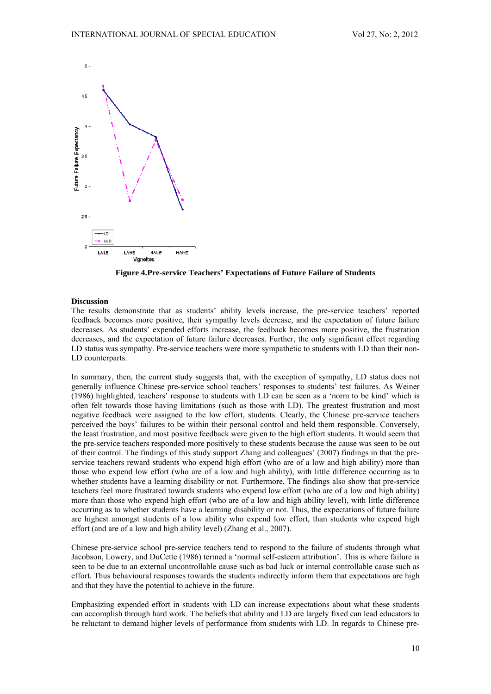

Figure 4. Pre-service Teachers' Expectations of Future Failure of Students

## **Discussion**

The results demonstrate that as students' ability levels increase, the pre-service teachers' reported feedback becomes more positive, their sympathy levels decrease, and the expectation of future failure decreases. As students' expended efforts increase, the feedback becomes more positive, the frustration decreases, and the expectation of future failure decreases. Further, the only significant effect regarding LD status was sympathy. Pre-service teachers were more sympathetic to students with LD than their non-LD counterparts.

In summary, then, the current study suggests that, with the exception of sympathy. LD status does not generally influence Chinese pre-service school teachers' responses to students' test failures. As Weiner (1986) highlighted, teachers' response to students with LD can be seen as a 'norm to be kind' which is often felt towards those having limitations (such as those with LD). The greatest frustration and most negative feedback were assigned to the low effort, students. Clearly, the Chinese pre-service teachers perceived the boys' failures to be within their personal control and held them responsible. Conversely, the least frustration, and most positive feedback were given to the high effort students. It would seem that the pre-service teachers responded more positively to these students because the cause was seen to be out of their control. The findings of this study support Zhang and colleagues' (2007) findings in that the preservice teachers reward students who expend high effort (who are of a low and high ability) more than those who expend low effort (who are of a low and high ability), with little difference occurring as to whether students have a learning disability or not. Furthermore, The findings also show that pre-service teachers feel more frustrated towards students who expend low effort (who are of a low and high ability) more than those who expend high effort (who are of a low and high ability level), with little difference occurring as to whether students have a learning disability or not. Thus, the expectations of future failure are highest amongst students of a low ability who expend low effort, than students who expend high effort (and are of a low and high ability level) (Zhang et al., 2007).

Chinese pre-service school pre-service teachers tend to respond to the failure of students through what Jacobson, Lowery, and DuCette (1986) termed a 'normal self-esteem attribution'. This is where failure is seen to be due to an external uncontrollable cause such as bad luck or internal controllable cause such as effort. Thus behavioural responses towards the students indirectly inform them that expectations are high and that they have the potential to achieve in the future.

Emphasizing expended effort in students with LD can increase expectations about what these students can accomplish through hard work. The beliefs that ability and LD are largely fixed can lead educators to be reluctant to demand higher levels of performance from students with LD. In regards to Chinese pre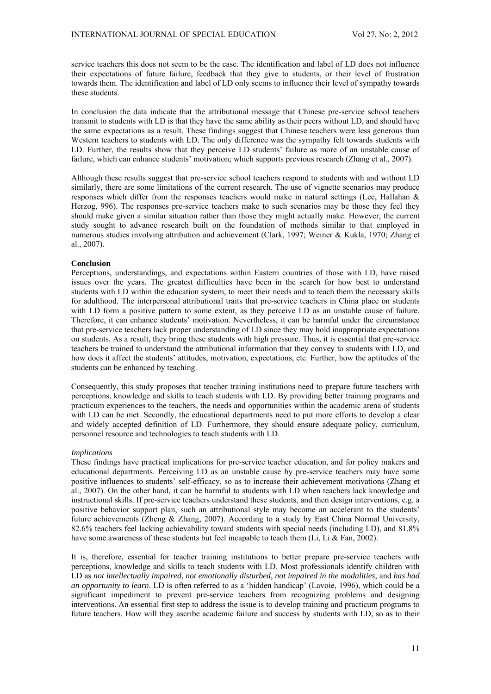service teachers this does not seem to be the case. The identification and label of LD does not influence their expectations of future failure, feedback that they give to students, or their level of frustration towards them. The identification and label of LD only seems to influence their level of sympathy towards these students.

In conclusion the data indicate that the attributional message that Chinese pre-service school teachers transmit to students with LD is that they have the same ability as their peers without LD, and should have the same expectations as a result. These findings suggest that Chinese teachers were less generous than Western teachers to students with LD. The only difference was the sympathy felt towards students with LD. Further, the results show that they perceive LD students' failure as more of an unstable cause of failure, which can enhance students' motivation; which supports previous research (Zhang et al., 2007).

Although these results suggest that pre-service school teachers respond to students with and without LD similarly, there are some limitations of the current research. The use of vignette scenarios may produce responses which differ from the responses teachers would make in natural settings (Lee, Hallahan & Herzog, 996). The responses pre-service teachers make to such scenarios may be those they feel they should make given a similar situation rather than those they might actually make. However, the current study sought to advance research built on the foundation of methods similar to that employed in numerous studies involving attribution and achievement (Clark, 1997; Weiner & Kukla, 1970; Zhang et al., 2007).

#### **Conclusion**

Perceptions, understandings, and expectations within Eastern countries of those with LD, have raised issues over the years. The greatest difficulties have been in the search for how best to understand students with LD within the education system, to meet their needs and to teach them the necessary skills for adulthood. The interpersonal attributional traits that pre-service teachers in China place on students with LD form a positive pattern to some extent, as they perceive LD as an unstable cause of failure. Therefore, it can enhance students' motivation. Nevertheless, it can be harmful under the circumstance that pre-service teachers lack proper understanding of LD since they may hold inappropriate expectations on students. As a result, they bring these students with high pressure. Thus, it is essential that pre-service teachers be trained to understand the attributional information that they convey to students with LD, and how does it affect the students' attitudes, motivation, expectations, etc. Further, how the aptitudes of the students can be enhanced by teaching.

Consequently, this study proposes that teacher training institutions need to prepare future teachers with perceptions, knowledge and skills to teach students with LD. By providing better training programs and practicum experiences to the teachers, the needs and opportunities within the academic arena of students with LD can be met. Secondly, the educational departments need to put more efforts to develop a clear and widely accepted definition of LD. Furthermore, they should ensure adequate policy, curriculum, personnel resource and technologies to teach students with LD.

#### *Implications*

These findings have practical implications for pre-service teacher education, and for policy makers and educational departments. Perceiving LD as an unstable cause by pre-service teachers may have some positive influences to students' self-efficacy, so as to increase their achievement motivations (Zhang et al., 2007). On the other hand, it can be harmful to students with LD when teachers lack knowledge and instructional skills. If pre-service teachers understand these students, and then design interventions, e.g. a positive behavior support plan, such an attributional style may become an accelerant to the students' future achievements (Zheng & Zhang, 2007). According to a study by East China Normal University, 82.6% teachers feel lacking achievability toward students with special needs (including LD), and 81.8% have some awareness of these students but feel incapable to teach them (Li, Li  $\&$  Fan, 2002).

It is, therefore, essential for teacher training institutions to better prepare pre-service teachers with perceptions, knowledge and skills to teach students with LD. Most professionals identify children with LD as *not intellectually impaired*, *not emotionally disturbed*, *not impaired in the modalities*, and *has had an opportunity to learn*. LD is often referred to as a 'hidden handicap' (Lavoie, 1996), which could be a significant impediment to prevent pre-service teachers from recognizing problems and designing interventions. An essential first step to address the issue is to develop training and practicum programs to future teachers. How will they ascribe academic failure and success by students with LD, so as to their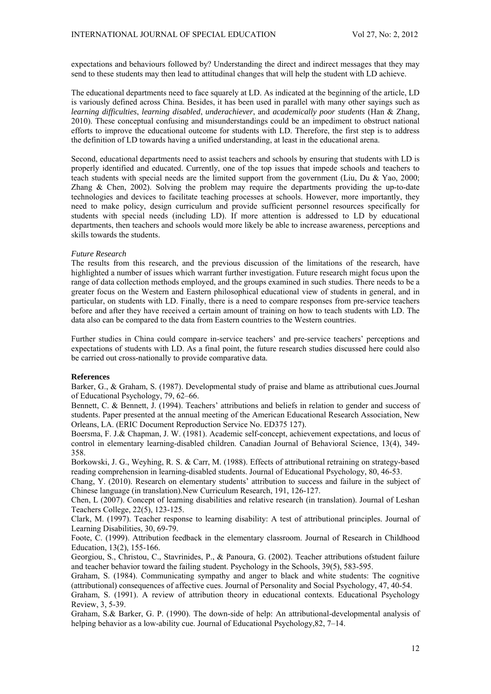expectations and behaviours followed by? Understanding the direct and indirect messages that they may send to these students may then lead to attitudinal changes that will help the student with LD achieve.

The educational departments need to face squarely at LD. As indicated at the beginning of the article, LD is variously defined across China. Besides, it has been used in parallel with many other sayings such as *learning difficulties*, *learning disabled*, *underachiever*, and *academically poor students* (Han & Zhang, 2010). These conceptual confusing and misunderstandings could be an impediment to obstruct national efforts to improve the educational outcome for students with LD. Therefore, the first step is to address the definition of LD towards having a unified understanding, at least in the educational arena.

Second, educational departments need to assist teachers and schools by ensuring that students with LD is properly identified and educated. Currently, one of the top issues that impede schools and teachers to teach students with special needs are the limited support from the government (Liu, Du & Yao, 2000; Zhang & Chen, 2002). Solving the problem may require the departments providing the up-to-date technologies and devices to facilitate teaching processes at schools. However, more importantly, they need to make policy, design curriculum and provide sufficient personnel resources specifically for students with special needs (including LD). If more attention is addressed to LD by educational departments, then teachers and schools would more likely be able to increase awareness, perceptions and skills towards the students.

#### *Future Research*

The results from this research, and the previous discussion of the limitations of the research, have highlighted a number of issues which warrant further investigation. Future research might focus upon the range of data collection methods employed, and the groups examined in such studies. There needs to be a greater focus on the Western and Eastern philosophical educational view of students in general, and in particular, on students with LD. Finally, there is a need to compare responses from pre-service teachers before and after they have received a certain amount of training on how to teach students with LD. The data also can be compared to the data from Eastern countries to the Western countries.

Further studies in China could compare in-service teachers' and pre-service teachers' perceptions and expectations of students with LD. As a final point, the future research studies discussed here could also be carried out cross-nationally to provide comparative data.

### **References**

Barker, G., & Graham, S. (1987). Developmental study of praise and blame as attributional cues.Journal of Educational Psychology, 79, 62–66.

Bennett, C. & Bennett, J. (1994). Teachers' attributions and beliefs in relation to gender and success of students. Paper presented at the annual meeting of the American Educational Research Association, New Orleans, LA. (ERIC Document Reproduction Service No. ED375 127).

Boersma, F. J.& Chapman, J. W. (1981). Academic self-concept, achievement expectations, and locus of control in elementary learning-disabled children. Canadian Journal of Behavioral Science, 13(4), 349- 358.

Borkowski, J. G., Weyhing, R. S. & Carr, M. (1988). Effects of attributional retraining on strategy-based reading comprehension in learning-disabled students. Journal of Educational Psychology, 80, 46-53.

Chang, Y. (2010). Research on elementary students' attribution to success and failure in the subject of Chinese language (in translation).New Curriculum Research, 191, 126-127.

Chen, L (2007). Concept of learning disabilities and relative research (in translation). Journal of Leshan Teachers College, 22(5), 123-125.

Clark, M. (1997). Teacher response to learning disability: A test of attributional principles. Journal of Learning Disabilities, 30, 69-79.

Foote, C. (1999). Attribution feedback in the elementary classroom. Journal of Research in Childhood Education, 13(2), 155-166.

Georgiou, S., Christou, C., Stavrinides, P., & Panoura, G. (2002). Teacher attributions ofstudent failure and teacher behavior toward the failing student. Psychology in the Schools, 39(5), 583-595.

Graham, S. (1984). Communicating sympathy and anger to black and white students: The cognitive (attributional) consequences of affective cues. Journal of Personality and Social Psychology, 47, 40-54.

Graham, S. (1991). A review of attribution theory in educational contexts. Educational Psychology Review, 3, 5-39.

Graham, S.& Barker, G. P. (1990). The down-side of help: An attributional-developmental analysis of helping behavior as a low-ability cue. Journal of Educational Psychology, 82, 7–14.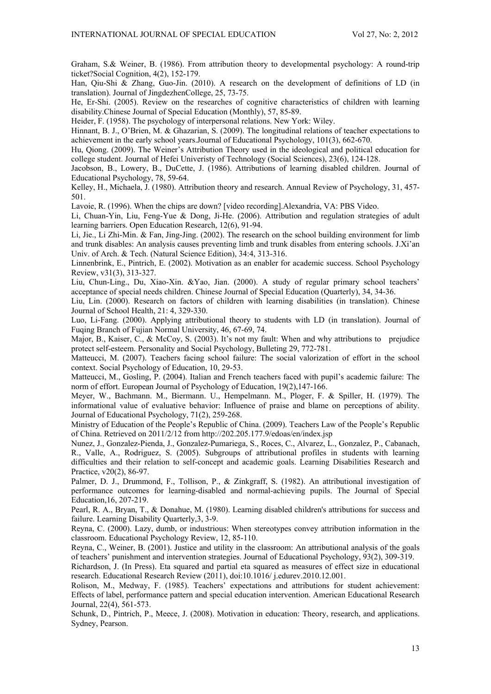Graham, S.& Weiner, B. (1986). From attribution theory to developmental psychology: A round-trip ticket?Social Cognition, 4(2), 152-179.

Han, Qiu-Shi & Zhang, Guo-Jin. (2010). A research on the development of definitions of LD (in translation). Journal of JingdezhenCollege, 25, 73-75.

He, Er-Shi. (2005). Review on the researches of cognitive characteristics of children with learning disability.Chinese Journal of Special Education (Monthly), 57, 85-89.

Heider, F. (1958). The psychology of interpersonal relations. New York: Wiley.

Hinnant, B. J., O'Brien, M. & Ghazarian, S. (2009). The longitudinal relations of teacher expectations to achievement in the early school years.Journal of Educational Psychology, 101(3), 662-670.

Hu, Qiong. (2009). The Weiner's Attribution Theory used in the ideological and political education for college student. Journal of Hefei Univeristy of Technology (Social Sciences), 23(6), 124-128.

Jacobson, B., Lowery, B., DuCette, J. (1986). Attributions of learning disabled children. Journal of Educational Psychology, 78, 59-64.

Kelley, H., Michaela, J. (1980). Attribution theory and research. Annual Review of Psychology, 31, 457- 501.

Lavoie, R. (1996). When the chips are down? [video recording].Alexandria, VA: PBS Video.

Li, Chuan-Yin, Liu, Feng-Yue & Dong, Ji-He. (2006). Attribution and regulation strategies of adult learning barriers. Open Education Research, 12(6), 91-94.

Li, Jie., Li Zhi-Min. & Fan, Jing-Jing. (2002). The research on the school building environment for limb and trunk disables: An analysis causes preventing limb and trunk disables from entering schools. J.Xi'an Univ. of Arch. & Tech. (Natural Science Edition), 34:4, 313-316.

Linnenbrink, E., Pintrich, E. (2002). Motivation as an enabler for academic success. School Psychology Review, v31(3), 313-327.

Liu, Chun-Ling., Du, Xiao-Xin. &Yao, Jian. (2000). A study of regular primary school teachers' acceptance of special needs children. Chinese Journal of Special Education (Quarterly), 34, 34-36.

Liu, Lin. (2000). Research on factors of children with learning disabilities (in translation). Chinese Journal of School Health, 21: 4, 329-330.

Luo, Li-Fang. (2000). Applying attributional theory to students with LD (in translation). Journal of Fuqing Branch of Fujian Normal University, 46, 67-69, 74.

Major, B., Kaiser, C., & McCoy, S. (2003). It's not my fault: When and why attributions to prejudice protect self-esteem. Personality and Social Psychology, Bulleting 29, 772-781.

Matteucci, M. (2007). Teachers facing school failure: The social valorization of effort in the school context. Social Psychology of Education, 10, 29-53.

Matteucci, M., Gosling, P. (2004). Italian and French teachers faced with pupil's academic failure: The norm of effort. European Journal of Psychology of Education, 19(2),147-166.

Meyer, W., Bachmann. M., Biermann. U., Hempelmann. M., Ploger, F. & Spiller, H. (1979). The informational value of evaluative behavior: Influence of praise and blame on perceptions of ability. Journal of Educational Psychology, 71(2), 259-268.

Ministry of Education of the People's Republic of China. (2009). Teachers Law of the People's Republic of China. Retrieved on 2011/2/12 from http://202.205.177.9/edoas/en/index.jsp

Nunez, J., Gonzalez-Pienda, J., Gonzalez-Pumariega, S., Roces, C., Alvarez, L., Gonzalez, P., Cabanach, R., Valle, A., Rodriguez, S. (2005). Subgroups of attributional profiles in students with learning difficulties and their relation to self-concept and academic goals. Learning Disabilities Research and Practice, v20(2), 86-97.

Palmer, D. J., Drummond, F., Tollison, P., & Zinkgraff, S. (1982). An attributional investigation of performance outcomes for learning-disabled and normal-achieving pupils. The Journal of Special Education,16, 207-219.

Pearl, R. A., Bryan, T., & Donahue, M. (1980). Learning disabled children's attributions for success and failure. Learning Disability Quarterly,3, 3-9.

Reyna, C. (2000). Lazy, dumb, or industrious: When stereotypes convey attribution information in the classroom. Educational Psychology Review, 12, 85-110.

Reyna, C., Weiner, B. (2001). Justice and utility in the classroom: An attributional analysis of the goals of teachers' punishment and intervention strategies. Journal of Educational Psychology, 93(2), 309-319.

Richardson, J. (In Press). Eta squared and partial eta squared as measures of effect size in educational research. Educational Research Review (2011), doi:10.1016/ j.edurev.2010.12.001.

Rolison, M., Medway, F. (1985). Teachers' expectations and attributions for student achievement: Effects of label, performance pattern and special education intervention. American Educational Research Journal, 22(4), 561-573.

Schunk, D., Pintrich, P., Meece, J. (2008). Motivation in education: Theory, research, and applications. Sydney, Pearson.